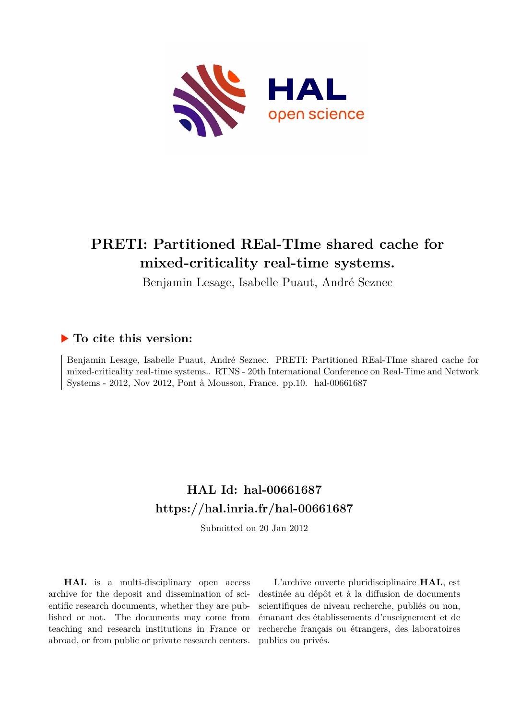

# **PRETI: Partitioned REal-TIme shared cache for mixed-criticality real-time systems.**

Benjamin Lesage, Isabelle Puaut, André Seznec

## **To cite this version:**

Benjamin Lesage, Isabelle Puaut, André Seznec. PRETI: Partitioned REal-TIme shared cache for mixed-criticality real-time systems.. RTNS - 20th International Conference on Real-Time and Network Systems - 2012, Nov 2012, Pont à Mousson, France. pp.10. hal-00661687

## **HAL Id: hal-00661687 <https://hal.inria.fr/hal-00661687>**

Submitted on 20 Jan 2012

**HAL** is a multi-disciplinary open access archive for the deposit and dissemination of scientific research documents, whether they are published or not. The documents may come from teaching and research institutions in France or abroad, or from public or private research centers.

L'archive ouverte pluridisciplinaire **HAL**, est destinée au dépôt et à la diffusion de documents scientifiques de niveau recherche, publiés ou non, émanant des établissements d'enseignement et de recherche français ou étrangers, des laboratoires publics ou privés.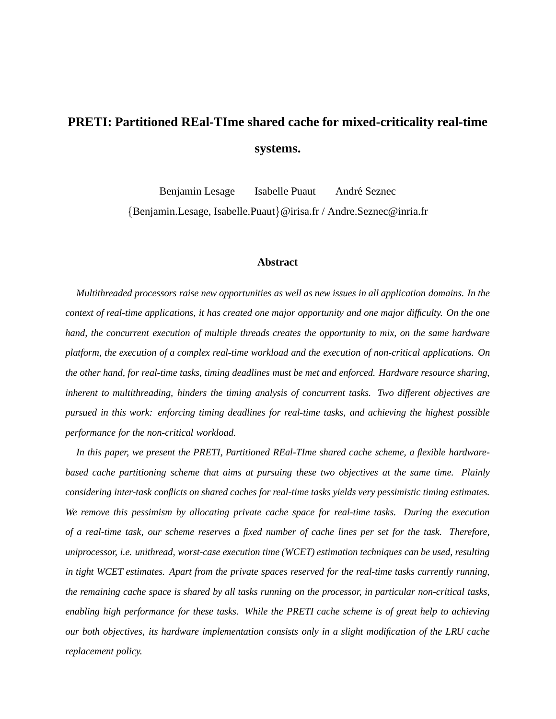# **PRETI: Partitioned REal-TIme shared cache for mixed-criticality real-time systems.**

Benjamin Lesage Isabelle Puaut André Seznec {Benjamin.Lesage, Isabelle.Puaut}@irisa.fr / Andre.Seznec@inria.fr

#### **Abstract**

*Multithreaded processors raise new opportunities as well as new issues in all application domains. In the context of real-time applications, it has created one major opportunity and one major difficulty. On the one hand, the concurrent execution of multiple threads creates the opportunity to mix, on the same hardware platform, the execution of a complex real-time workload and the execution of non-critical applications. On the other hand, for real-time tasks, timing deadlines must be met and enforced. Hardware resource sharing, inherent to multithreading, hinders the timing analysis of concurrent tasks. Two different objectives are pursued in this work: enforcing timing deadlines for real-time tasks, and achieving the highest possible performance for the non-critical workload.*

*In this paper, we present the PRETI, Partitioned REal-TIme shared cache scheme, a flexible hardwarebased cache partitioning scheme that aims at pursuing these two objectives at the same time. Plainly considering inter-task conflicts on shared caches for real-time tasks yields very pessimistic timing estimates. We remove this pessimism by allocating private cache space for real-time tasks. During the execution of a real-time task, our scheme reserves a fixed number of cache lines per set for the task. Therefore, uniprocessor, i.e. unithread, worst-case execution time (WCET) estimation techniques can be used, resulting in tight WCET estimates. Apart from the private spaces reserved for the real-time tasks currently running, the remaining cache space is shared by all tasks running on the processor, in particular non-critical tasks, enabling high performance for these tasks. While the PRETI cache scheme is of great help to achieving our both objectives, its hardware implementation consists only in a slight modification of the LRU cache replacement policy.*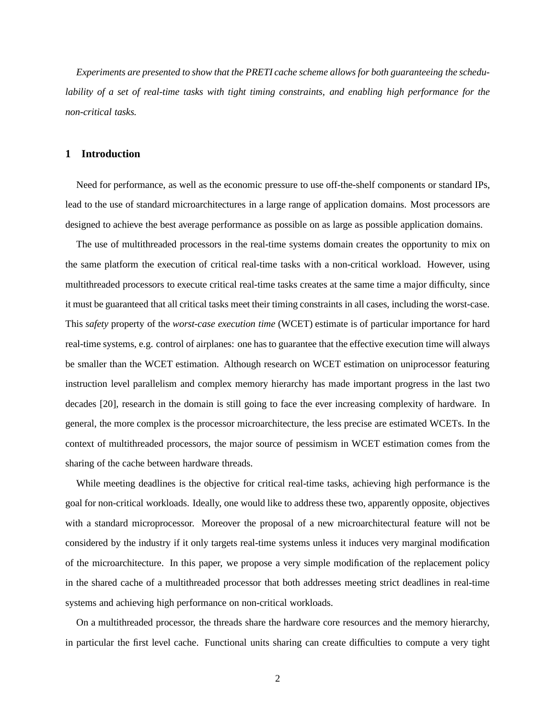*Experiments are presented to show that the PRETI cache scheme allows for both guaranteeing the schedulability of a set of real-time tasks with tight timing constraints, and enabling high performance for the non-critical tasks.*

#### **1 Introduction**

Need for performance, as well as the economic pressure to use off-the-shelf components or standard IPs, lead to the use of standard microarchitectures in a large range of application domains. Most processors are designed to achieve the best average performance as possible on as large as possible application domains.

The use of multithreaded processors in the real-time systems domain creates the opportunity to mix on the same platform the execution of critical real-time tasks with a non-critical workload. However, using multithreaded processors to execute critical real-time tasks creates at the same time a major difficulty, since it must be guaranteed that all critical tasks meet their timing constraints in all cases, including the worst-case. This *safety* property of the *worst-case execution time* (WCET) estimate is of particular importance for hard real-time systems, e.g. control of airplanes: one has to guarantee that the effective execution time will always be smaller than the WCET estimation. Although research on WCET estimation on uniprocessor featuring instruction level parallelism and complex memory hierarchy has made important progress in the last two decades [20], research in the domain is still going to face the ever increasing complexity of hardware. In general, the more complex is the processor microarchitecture, the less precise are estimated WCETs. In the context of multithreaded processors, the major source of pessimism in WCET estimation comes from the sharing of the cache between hardware threads.

While meeting deadlines is the objective for critical real-time tasks, achieving high performance is the goal for non-critical workloads. Ideally, one would like to address these two, apparently opposite, objectives with a standard microprocessor. Moreover the proposal of a new microarchitectural feature will not be considered by the industry if it only targets real-time systems unless it induces very marginal modification of the microarchitecture. In this paper, we propose a very simple modification of the replacement policy in the shared cache of a multithreaded processor that both addresses meeting strict deadlines in real-time systems and achieving high performance on non-critical workloads.

On a multithreaded processor, the threads share the hardware core resources and the memory hierarchy, in particular the first level cache. Functional units sharing can create difficulties to compute a very tight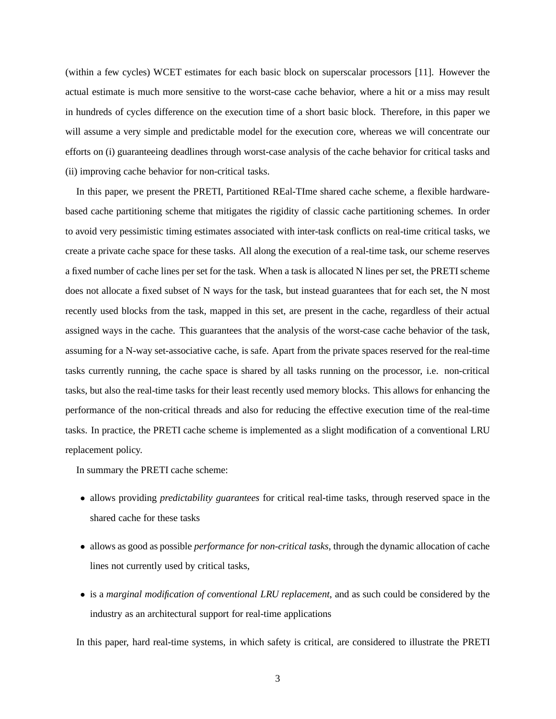(within a few cycles) WCET estimates for each basic block on superscalar processors [11]. However the actual estimate is much more sensitive to the worst-case cache behavior, where a hit or a miss may result in hundreds of cycles difference on the execution time of a short basic block. Therefore, in this paper we will assume a very simple and predictable model for the execution core, whereas we will concentrate our efforts on (i) guaranteeing deadlines through worst-case analysis of the cache behavior for critical tasks and (ii) improving cache behavior for non-critical tasks.

In this paper, we present the PRETI, Partitioned REal-TIme shared cache scheme, a flexible hardwarebased cache partitioning scheme that mitigates the rigidity of classic cache partitioning schemes. In order to avoid very pessimistic timing estimates associated with inter-task conflicts on real-time critical tasks, we create a private cache space for these tasks. All along the execution of a real-time task, our scheme reserves a fixed number of cache lines per set for the task. When a task is allocated N lines per set, the PRETI scheme does not allocate a fixed subset of N ways for the task, but instead guarantees that for each set, the N most recently used blocks from the task, mapped in this set, are present in the cache, regardless of their actual assigned ways in the cache. This guarantees that the analysis of the worst-case cache behavior of the task, assuming for a N-way set-associative cache, is safe. Apart from the private spaces reserved for the real-time tasks currently running, the cache space is shared by all tasks running on the processor, i.e. non-critical tasks, but also the real-time tasks for their least recently used memory blocks. This allows for enhancing the performance of the non-critical threads and also for reducing the effective execution time of the real-time tasks. In practice, the PRETI cache scheme is implemented as a slight modification of a conventional LRU replacement policy.

In summary the PRETI cache scheme:

- allows providing *predictability guarantees* for critical real-time tasks, through reserved space in the shared cache for these tasks
- allows as good as possible *performance for non-critical tasks*, through the dynamic allocation of cache lines not currently used by critical tasks,
- is a *marginal modification of conventional LRU replacement*, and as such could be considered by the industry as an architectural support for real-time applications

In this paper, hard real-time systems, in which safety is critical, are considered to illustrate the PRETI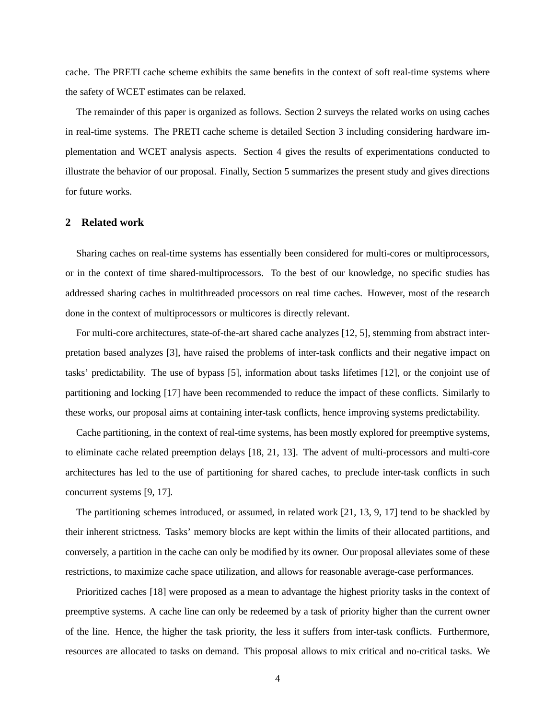cache. The PRETI cache scheme exhibits the same benefits in the context of soft real-time systems where the safety of WCET estimates can be relaxed.

The remainder of this paper is organized as follows. Section 2 surveys the related works on using caches in real-time systems. The PRETI cache scheme is detailed Section 3 including considering hardware implementation and WCET analysis aspects. Section 4 gives the results of experimentations conducted to illustrate the behavior of our proposal. Finally, Section 5 summarizes the present study and gives directions for future works.

#### **2 Related work**

Sharing caches on real-time systems has essentially been considered for multi-cores or multiprocessors, or in the context of time shared-multiprocessors. To the best of our knowledge, no specific studies has addressed sharing caches in multithreaded processors on real time caches. However, most of the research done in the context of multiprocessors or multicores is directly relevant.

For multi-core architectures, state-of-the-art shared cache analyzes [12, 5], stemming from abstract interpretation based analyzes [3], have raised the problems of inter-task conflicts and their negative impact on tasks' predictability. The use of bypass [5], information about tasks lifetimes [12], or the conjoint use of partitioning and locking [17] have been recommended to reduce the impact of these conflicts. Similarly to these works, our proposal aims at containing inter-task conflicts, hence improving systems predictability.

Cache partitioning, in the context of real-time systems, has been mostly explored for preemptive systems, to eliminate cache related preemption delays [18, 21, 13]. The advent of multi-processors and multi-core architectures has led to the use of partitioning for shared caches, to preclude inter-task conflicts in such concurrent systems [9, 17].

The partitioning schemes introduced, or assumed, in related work [21, 13, 9, 17] tend to be shackled by their inherent strictness. Tasks' memory blocks are kept within the limits of their allocated partitions, and conversely, a partition in the cache can only be modified by its owner. Our proposal alleviates some of these restrictions, to maximize cache space utilization, and allows for reasonable average-case performances.

Prioritized caches [18] were proposed as a mean to advantage the highest priority tasks in the context of preemptive systems. A cache line can only be redeemed by a task of priority higher than the current owner of the line. Hence, the higher the task priority, the less it suffers from inter-task conflicts. Furthermore, resources are allocated to tasks on demand. This proposal allows to mix critical and no-critical tasks. We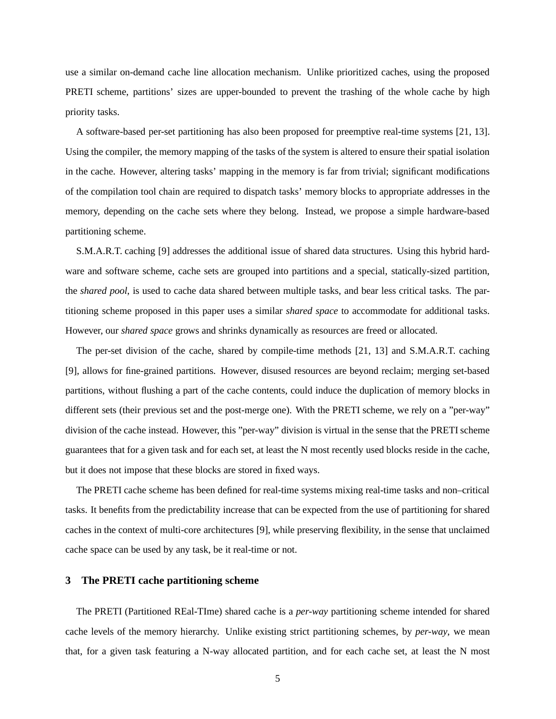use a similar on-demand cache line allocation mechanism. Unlike prioritized caches, using the proposed PRETI scheme, partitions' sizes are upper-bounded to prevent the trashing of the whole cache by high priority tasks.

A software-based per-set partitioning has also been proposed for preemptive real-time systems [21, 13]. Using the compiler, the memory mapping of the tasks of the system is altered to ensure their spatial isolation in the cache. However, altering tasks' mapping in the memory is far from trivial; significant modifications of the compilation tool chain are required to dispatch tasks' memory blocks to appropriate addresses in the memory, depending on the cache sets where they belong. Instead, we propose a simple hardware-based partitioning scheme.

S.M.A.R.T. caching [9] addresses the additional issue of shared data structures. Using this hybrid hardware and software scheme, cache sets are grouped into partitions and a special, statically-sized partition, the *shared pool*, is used to cache data shared between multiple tasks, and bear less critical tasks. The partitioning scheme proposed in this paper uses a similar *shared space* to accommodate for additional tasks. However, our *shared space* grows and shrinks dynamically as resources are freed or allocated.

The per-set division of the cache, shared by compile-time methods [21, 13] and S.M.A.R.T. caching [9], allows for fine-grained partitions. However, disused resources are beyond reclaim; merging set-based partitions, without flushing a part of the cache contents, could induce the duplication of memory blocks in different sets (their previous set and the post-merge one). With the PRETI scheme, we rely on a "per-way" division of the cache instead. However, this "per-way" division is virtual in the sense that the PRETI scheme guarantees that for a given task and for each set, at least the N most recently used blocks reside in the cache, but it does not impose that these blocks are stored in fixed ways.

The PRETI cache scheme has been defined for real-time systems mixing real-time tasks and non–critical tasks. It benefits from the predictability increase that can be expected from the use of partitioning for shared caches in the context of multi-core architectures [9], while preserving flexibility, in the sense that unclaimed cache space can be used by any task, be it real-time or not.

## **3 The PRETI cache partitioning scheme**

The PRETI (Partitioned REal-TIme) shared cache is a *per-way* partitioning scheme intended for shared cache levels of the memory hierarchy. Unlike existing strict partitioning schemes, by *per-way*, we mean that, for a given task featuring a N-way allocated partition, and for each cache set, at least the N most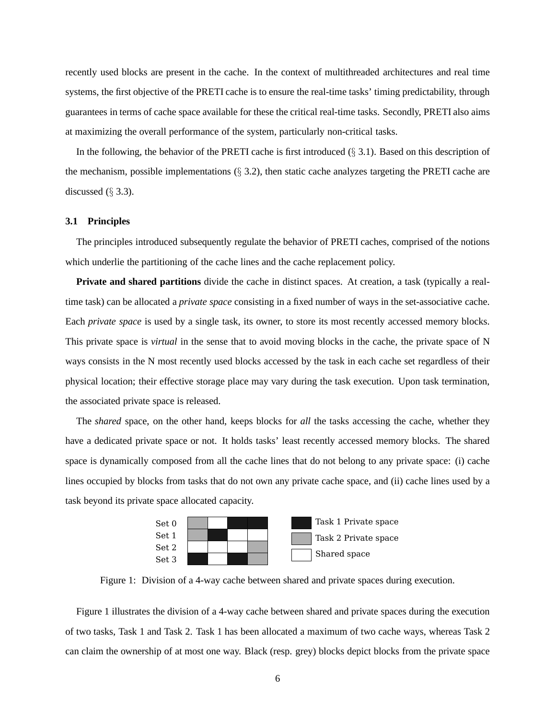recently used blocks are present in the cache. In the context of multithreaded architectures and real time systems, the first objective of the PRETI cache is to ensure the real-time tasks' timing predictability, through guarantees in terms of cache space available for these the critical real-time tasks. Secondly, PRETI also aims at maximizing the overall performance of the system, particularly non-critical tasks.

In the following, the behavior of the PRETI cache is first introduced  $(\S 3.1)$ . Based on this description of the mechanism, possible implementations  $(\S 3.2)$ , then static cache analyzes targeting the PRETI cache are discussed  $(\S$  3.3).

#### **3.1 Principles**

The principles introduced subsequently regulate the behavior of PRETI caches, comprised of the notions which underlie the partitioning of the cache lines and the cache replacement policy.

**Private and shared partitions** divide the cache in distinct spaces. At creation, a task (typically a realtime task) can be allocated a *private space* consisting in a fixed number of ways in the set-associative cache. Each *private space* is used by a single task, its owner, to store its most recently accessed memory blocks. This private space is *virtual* in the sense that to avoid moving blocks in the cache, the private space of N ways consists in the N most recently used blocks accessed by the task in each cache set regardless of their physical location; their effective storage place may vary during the task execution. Upon task termination, the associated private space is released.

The *shared* space, on the other hand, keeps blocks for *all* the tasks accessing the cache, whether they have a dedicated private space or not. It holds tasks' least recently accessed memory blocks. The shared space is dynamically composed from all the cache lines that do not belong to any private space: (i) cache lines occupied by blocks from tasks that do not own any private cache space, and (ii) cache lines used by a task beyond its private space allocated capacity.



Figure 1: Division of a 4-way cache between shared and private spaces during execution.

Figure 1 illustrates the division of a 4-way cache between shared and private spaces during the execution of two tasks, Task 1 and Task 2. Task 1 has been allocated a maximum of two cache ways, whereas Task 2 can claim the ownership of at most one way. Black (resp. grey) blocks depict blocks from the private space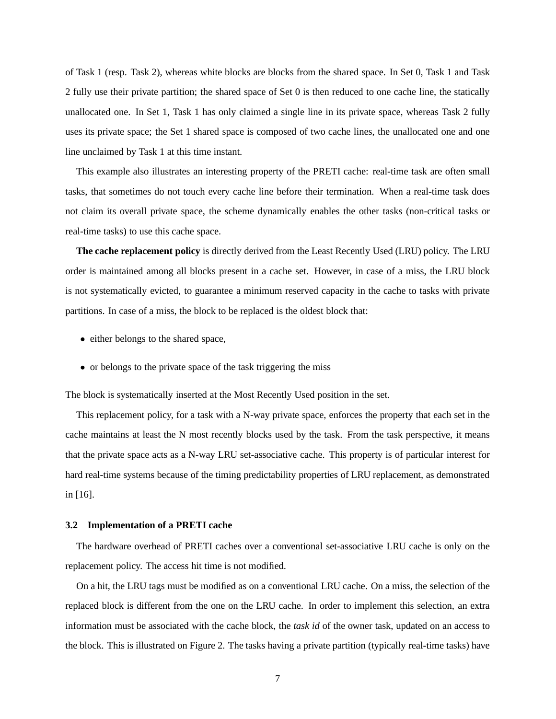of Task 1 (resp. Task 2), whereas white blocks are blocks from the shared space. In Set 0, Task 1 and Task 2 fully use their private partition; the shared space of Set 0 is then reduced to one cache line, the statically unallocated one. In Set 1, Task 1 has only claimed a single line in its private space, whereas Task 2 fully uses its private space; the Set 1 shared space is composed of two cache lines, the unallocated one and one line unclaimed by Task 1 at this time instant.

This example also illustrates an interesting property of the PRETI cache: real-time task are often small tasks, that sometimes do not touch every cache line before their termination. When a real-time task does not claim its overall private space, the scheme dynamically enables the other tasks (non-critical tasks or real-time tasks) to use this cache space.

**The cache replacement policy** is directly derived from the Least Recently Used (LRU) policy. The LRU order is maintained among all blocks present in a cache set. However, in case of a miss, the LRU block is not systematically evicted, to guarantee a minimum reserved capacity in the cache to tasks with private partitions. In case of a miss, the block to be replaced is the oldest block that:

- either belongs to the shared space,
- or belongs to the private space of the task triggering the miss

The block is systematically inserted at the Most Recently Used position in the set.

This replacement policy, for a task with a N-way private space, enforces the property that each set in the cache maintains at least the N most recently blocks used by the task. From the task perspective, it means that the private space acts as a N-way LRU set-associative cache. This property is of particular interest for hard real-time systems because of the timing predictability properties of LRU replacement, as demonstrated in [16].

#### **3.2 Implementation of a PRETI cache**

The hardware overhead of PRETI caches over a conventional set-associative LRU cache is only on the replacement policy. The access hit time is not modified.

On a hit, the LRU tags must be modified as on a conventional LRU cache. On a miss, the selection of the replaced block is different from the one on the LRU cache. In order to implement this selection, an extra information must be associated with the cache block, the *task id* of the owner task, updated on an access to the block. This is illustrated on Figure 2. The tasks having a private partition (typically real-time tasks) have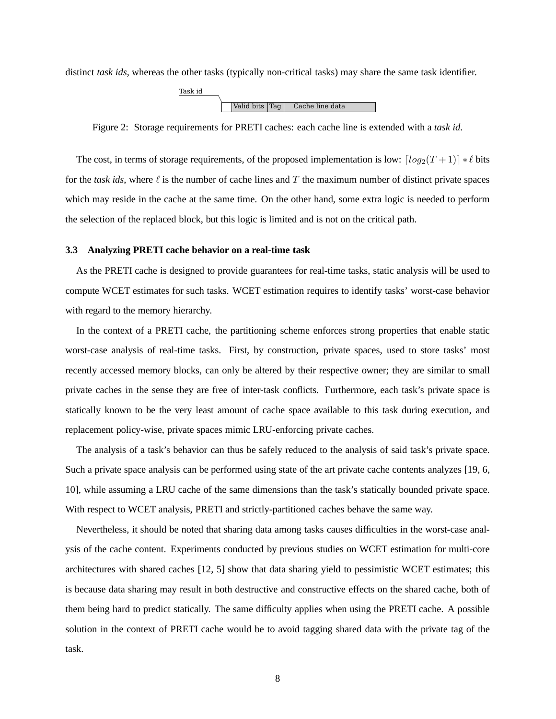distinct *task ids*, whereas the other tasks (typically non-critical tasks) may share the same task identifier.



Figure 2: Storage requirements for PRETI caches: each cache line is extended with a *task id*.

The cost, in terms of storage requirements, of the proposed implementation is low:  $\lceil log_2(T+1) \rceil * l$  bits for the *task ids*, where  $\ell$  is the number of cache lines and T the maximum number of distinct private spaces which may reside in the cache at the same time. On the other hand, some extra logic is needed to perform the selection of the replaced block, but this logic is limited and is not on the critical path.

#### **3.3 Analyzing PRETI cache behavior on a real-time task**

As the PRETI cache is designed to provide guarantees for real-time tasks, static analysis will be used to compute WCET estimates for such tasks. WCET estimation requires to identify tasks' worst-case behavior with regard to the memory hierarchy.

In the context of a PRETI cache, the partitioning scheme enforces strong properties that enable static worst-case analysis of real-time tasks. First, by construction, private spaces, used to store tasks' most recently accessed memory blocks, can only be altered by their respective owner; they are similar to small private caches in the sense they are free of inter-task conflicts. Furthermore, each task's private space is statically known to be the very least amount of cache space available to this task during execution, and replacement policy-wise, private spaces mimic LRU-enforcing private caches.

The analysis of a task's behavior can thus be safely reduced to the analysis of said task's private space. Such a private space analysis can be performed using state of the art private cache contents analyzes [19, 6, 10], while assuming a LRU cache of the same dimensions than the task's statically bounded private space. With respect to WCET analysis, PRETI and strictly-partitioned caches behave the same way.

Nevertheless, it should be noted that sharing data among tasks causes difficulties in the worst-case analysis of the cache content. Experiments conducted by previous studies on WCET estimation for multi-core architectures with shared caches [12, 5] show that data sharing yield to pessimistic WCET estimates; this is because data sharing may result in both destructive and constructive effects on the shared cache, both of them being hard to predict statically. The same difficulty applies when using the PRETI cache. A possible solution in the context of PRETI cache would be to avoid tagging shared data with the private tag of the task.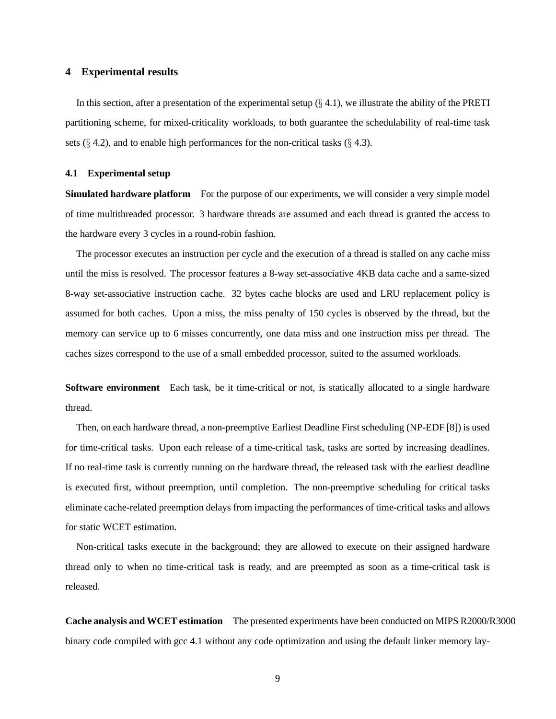## **4 Experimental results**

In this section, after a presentation of the experimental setup  $(\S 4.1)$ , we illustrate the ability of the PRETI partitioning scheme, for mixed-criticality workloads, to both guarantee the schedulability of real-time task sets  $(\S 4.2)$ , and to enable high performances for the non-critical tasks  $(\S 4.3)$ .

#### **4.1 Experimental setup**

**Simulated hardware platform** For the purpose of our experiments, we will consider a very simple model of time multithreaded processor. 3 hardware threads are assumed and each thread is granted the access to the hardware every 3 cycles in a round-robin fashion.

The processor executes an instruction per cycle and the execution of a thread is stalled on any cache miss until the miss is resolved. The processor features a 8-way set-associative 4KB data cache and a same-sized 8-way set-associative instruction cache. 32 bytes cache blocks are used and LRU replacement policy is assumed for both caches. Upon a miss, the miss penalty of 150 cycles is observed by the thread, but the memory can service up to 6 misses concurrently, one data miss and one instruction miss per thread. The caches sizes correspond to the use of a small embedded processor, suited to the assumed workloads.

**Software environment** Each task, be it time-critical or not, is statically allocated to a single hardware thread.

Then, on each hardware thread, a non-preemptive Earliest Deadline First scheduling (NP-EDF [8]) is used for time-critical tasks. Upon each release of a time-critical task, tasks are sorted by increasing deadlines. If no real-time task is currently running on the hardware thread, the released task with the earliest deadline is executed first, without preemption, until completion. The non-preemptive scheduling for critical tasks eliminate cache-related preemption delays from impacting the performances of time-critical tasks and allows for static WCET estimation.

Non-critical tasks execute in the background; they are allowed to execute on their assigned hardware thread only to when no time-critical task is ready, and are preempted as soon as a time-critical task is released.

**Cache analysis and WCET estimation** The presented experiments have been conducted on MIPS R2000/R3000 binary code compiled with gcc 4.1 without any code optimization and using the default linker memory lay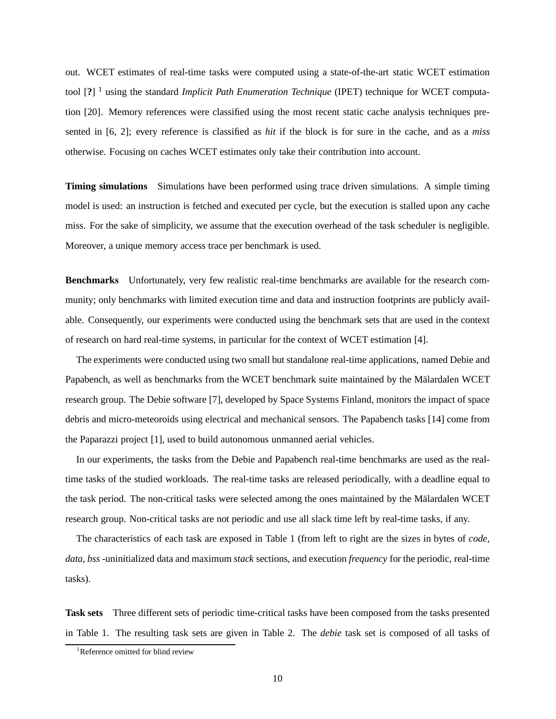out. WCET estimates of real-time tasks were computed using a state-of-the-art static WCET estimation tool [**?**] <sup>1</sup> using the standard *Implicit Path Enumeration Technique* (IPET) technique for WCET computation [20]. Memory references were classified using the most recent static cache analysis techniques presented in [6, 2]; every reference is classified as *hit* if the block is for sure in the cache, and as a *miss* otherwise. Focusing on caches WCET estimates only take their contribution into account.

**Timing simulations** Simulations have been performed using trace driven simulations. A simple timing model is used: an instruction is fetched and executed per cycle, but the execution is stalled upon any cache miss. For the sake of simplicity, we assume that the execution overhead of the task scheduler is negligible. Moreover, a unique memory access trace per benchmark is used.

**Benchmarks** Unfortunately, very few realistic real-time benchmarks are available for the research community; only benchmarks with limited execution time and data and instruction footprints are publicly available. Consequently, our experiments were conducted using the benchmark sets that are used in the context of research on hard real-time systems, in particular for the context of WCET estimation [4].

The experiments were conducted using two small but standalone real-time applications, named Debie and Papabench, as well as benchmarks from the WCET benchmark suite maintained by the Mälardalen WCET research group. The Debie software [7], developed by Space Systems Finland, monitors the impact of space debris and micro-meteoroids using electrical and mechanical sensors. The Papabench tasks [14] come from the Paparazzi project [1], used to build autonomous unmanned aerial vehicles.

In our experiments, the tasks from the Debie and Papabench real-time benchmarks are used as the realtime tasks of the studied workloads. The real-time tasks are released periodically, with a deadline equal to the task period. The non-critical tasks were selected among the ones maintained by the Mälardalen WCET research group. Non-critical tasks are not periodic and use all slack time left by real-time tasks, if any.

The characteristics of each task are exposed in Table 1 (from left to right are the sizes in bytes of *code*, *data*, *bss* -uninitialized data and maximum *stack* sections, and execution *frequency* for the periodic, real-time tasks).

**Task sets** Three different sets of periodic time-critical tasks have been composed from the tasks presented in Table 1. The resulting task sets are given in Table 2. The *debie* task set is composed of all tasks of

<sup>&</sup>lt;sup>1</sup>Reference omitted for blind review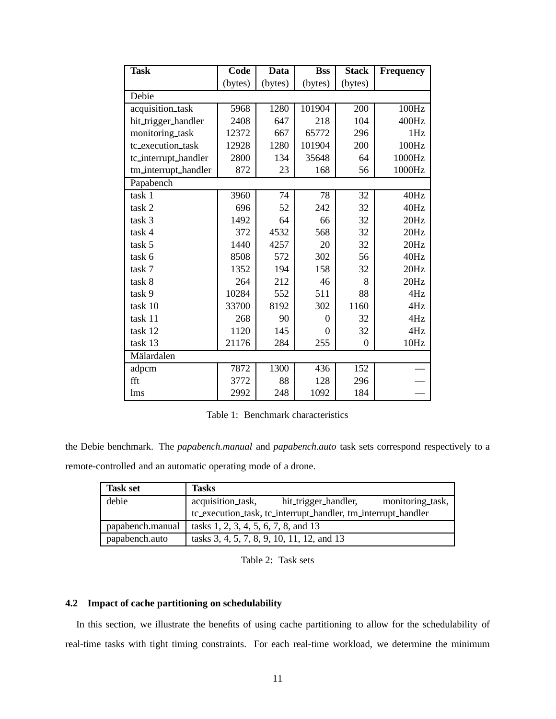| <b>Task</b>          | Code    | Data    | <b>Bss</b> | <b>Stack</b> | <b>Frequency</b> |
|----------------------|---------|---------|------------|--------------|------------------|
|                      | (bytes) | (bytes) | (bytes)    | (bytes)      |                  |
| Debie                |         |         |            |              |                  |
| acquisition_task     | 5968    | 1280    | 101904     | 200          | 100Hz            |
| hit_trigger_handler  | 2408    | 647     | 218        | 104          | 400Hz            |
| monitoring_task      | 12372   | 667     | 65772      | 296          | 1Hz              |
| tc_execution_task    | 12928   | 1280    | 101904     | 200          | 100Hz            |
| tc_interrupt_handler | 2800    | 134     | 35648      | 64           | 1000Hz           |
| tm_interrupt_handler | 872     | 23      | 168        | 56           | 1000Hz           |
| Papabench            |         |         |            |              |                  |
| task 1               | 3960    | 74      | 78         | 32           | 40Hz             |
| task 2               | 696     | 52      | 242        | 32           | 40Hz             |
| task 3               | 1492    | 64      | 66         | 32           | 20Hz             |
| task 4               | 372     | 4532    | 568        | 32           | 20Hz             |
| task 5               | 1440    | 4257    | 20         | 32           | 20Hz             |
| task 6               | 8508    | 572     | 302        | 56           | 40Hz             |
| task 7               | 1352    | 194     | 158        | 32           | 20Hz             |
| task 8               | 264     | 212     | 46         | 8            | 20Hz             |
| task 9               | 10284   | 552     | 511        | 88           | 4Hz              |
| task 10              | 33700   | 8192    | 302        | 1160         | 4Hz              |
| task 11              | 268     | 90      | $\theta$   | 32           | 4Hz              |
| task 12              | 1120    | 145     | $\Omega$   | 32           | 4Hz              |
| task 13              | 21176   | 284     | 255        | $\theta$     | 10Hz             |
| Mälardalen           |         |         |            |              |                  |
| adpcm                | 7872    | 1300    | 436        | 152          |                  |
| fft                  | 3772    | 88      | 128        | 296          |                  |
| lms                  | 2992    | 248     | 1092       | 184          |                  |

Table 1: Benchmark characteristics

the Debie benchmark. The *papabench.manual* and *papabench.auto* task sets correspond respectively to a remote-controlled and an automatic operating mode of a drone.

| <b>Task set</b>  | <b>Tasks</b>                                                  |  |  |
|------------------|---------------------------------------------------------------|--|--|
| debie            | acquisition_task,<br>monitoring task,<br>hit_trigger_handler, |  |  |
|                  | tc_execution_task, tc_interrupt_handler, tm_interrupt_handler |  |  |
| papabench.manual | tasks 1, 2, 3, 4, 5, 6, 7, 8, and 13                          |  |  |
| papabench.auto   | tasks 3, 4, 5, 7, 8, 9, 10, 11, 12, and 13                    |  |  |

Table 2: Task sets

### **4.2 Impact of cache partitioning on schedulability**

In this section, we illustrate the benefits of using cache partitioning to allow for the schedulability of real-time tasks with tight timing constraints. For each real-time workload, we determine the minimum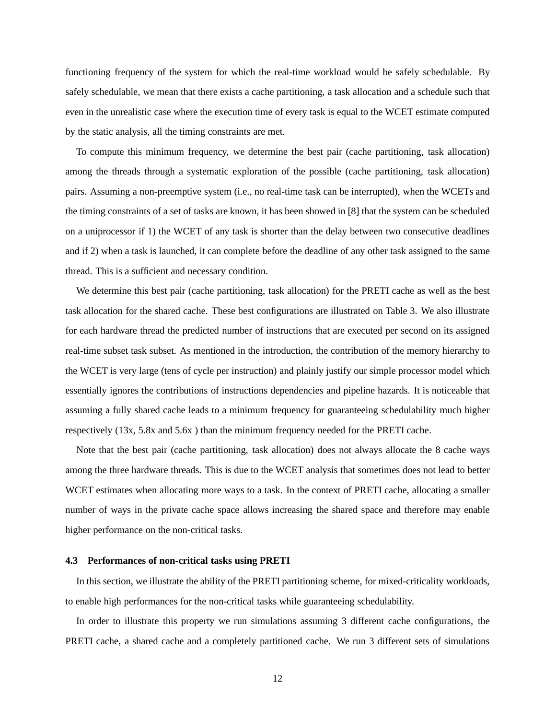functioning frequency of the system for which the real-time workload would be safely schedulable. By safely schedulable, we mean that there exists a cache partitioning, a task allocation and a schedule such that even in the unrealistic case where the execution time of every task is equal to the WCET estimate computed by the static analysis, all the timing constraints are met.

To compute this minimum frequency, we determine the best pair (cache partitioning, task allocation) among the threads through a systematic exploration of the possible (cache partitioning, task allocation) pairs. Assuming a non-preemptive system (i.e., no real-time task can be interrupted), when the WCETs and the timing constraints of a set of tasks are known, it has been showed in [8] that the system can be scheduled on a uniprocessor if 1) the WCET of any task is shorter than the delay between two consecutive deadlines and if 2) when a task is launched, it can complete before the deadline of any other task assigned to the same thread. This is a sufficient and necessary condition.

We determine this best pair (cache partitioning, task allocation) for the PRETI cache as well as the best task allocation for the shared cache. These best configurations are illustrated on Table 3. We also illustrate for each hardware thread the predicted number of instructions that are executed per second on its assigned real-time subset task subset. As mentioned in the introduction, the contribution of the memory hierarchy to the WCET is very large (tens of cycle per instruction) and plainly justify our simple processor model which essentially ignores the contributions of instructions dependencies and pipeline hazards. It is noticeable that assuming a fully shared cache leads to a minimum frequency for guaranteeing schedulability much higher respectively (13x, 5.8x and 5.6x ) than the minimum frequency needed for the PRETI cache.

Note that the best pair (cache partitioning, task allocation) does not always allocate the 8 cache ways among the three hardware threads. This is due to the WCET analysis that sometimes does not lead to better WCET estimates when allocating more ways to a task. In the context of PRETI cache, allocating a smaller number of ways in the private cache space allows increasing the shared space and therefore may enable higher performance on the non-critical tasks.

#### **4.3 Performances of non-critical tasks using PRETI**

In this section, we illustrate the ability of the PRETI partitioning scheme, for mixed-criticality workloads, to enable high performances for the non-critical tasks while guaranteeing schedulability.

In order to illustrate this property we run simulations assuming 3 different cache configurations, the PRETI cache, a shared cache and a completely partitioned cache. We run 3 different sets of simulations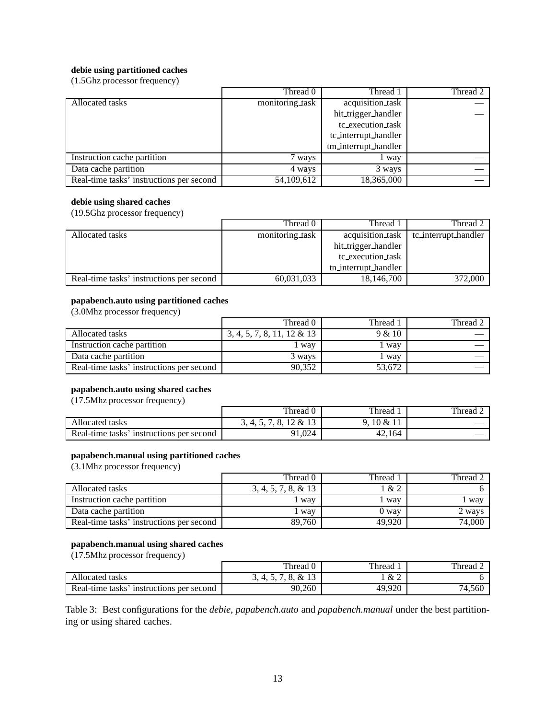## **debie using partitioned caches**

(1.5Ghz processor frequency)

|                                          | Thread 0        | Thread 1                | Thread 2 |
|------------------------------------------|-----------------|-------------------------|----------|
| Allocated tasks                          | monitoring task | acquisition_task        |          |
|                                          |                 | hit_trigger_handler     |          |
|                                          |                 | tc_execution_task       |          |
|                                          |                 | tc_interrupt_handler    |          |
|                                          |                 | tm_interrupt_handler    |          |
| Instruction cache partition              | 7 ways          | way                     |          |
| Data cache partition                     | 4 ways          | 3 ways                  |          |
| Real-time tasks' instructions per second | 54,109,612      | $18,36\overline{5,000}$ |          |

#### **debie using shared caches**

(19.5Ghz processor frequency)

|                                          | Thread 0        | Thread 1             | Thread 2             |
|------------------------------------------|-----------------|----------------------|----------------------|
| Allocated tasks                          | monitoring task | acquisition task     | tc_interrupt_handler |
|                                          |                 | hit_trigger_handler  |                      |
|                                          |                 | tc_execution_task    |                      |
|                                          |                 | tn_interrupt_handler |                      |
| Real-time tasks' instructions per second | 60,031,033      | 18,146,700           | 372,000              |

## **papabench.auto using partitioned caches**

(3.0Mhz processor frequency)

|                                          | Thread ()                     | Thread 1 | Thread 2 |
|------------------------------------------|-------------------------------|----------|----------|
| Allocated tasks                          | $3, 4, 5, 7, 8, 11, 12 \& 13$ | 9 & 10   |          |
| Instruction cache partition              | way                           | way      |          |
| Data cache partition                     | 3 wavs                        | way      |          |
| Real-time tasks' instructions per second | 90,352                        | 53,672   |          |

## **papabench.auto using shared caches**

(17.5Mhz processor frequency)

|                                             | Thread 0                             | Thread           | Thread $2$ |
|---------------------------------------------|--------------------------------------|------------------|------------|
| Allocated tasks                             | 12 & 1<br>$\mathbf o$<br>(1, 4, 5, ) | $0.10 \&$<br>. . |            |
| Real-time tasks'<br>instructions per second | 91,024                               | 42,164           |            |

#### **papabench.manual using partitioned caches**

(3.1Mhz processor frequency)

|                                          | Thread 0               | Thread | Thread 2 |
|------------------------------------------|------------------------|--------|----------|
| Allocated tasks                          | $3, 4, 5, 7, 8, \& 13$ | 1 & 2  |          |
| Instruction cache partition              | way                    | way    | way      |
| Data cache partition                     | way                    | 0 way  | 2 wavs   |
| Real-time tasks' instructions per second | 89.760                 | 49.920 | 74,000   |

#### **papabench.manual using shared caches**

(17.5Mhz processor frequency)

|                                             | Thread 0                  | Thread | Thread. |
|---------------------------------------------|---------------------------|--------|---------|
| Allocated tasks                             | 13<br>&<br>T. J. I.<br>v. | &2     |         |
| Real-time tasks'<br>instructions per second | 90,260                    | 49,920 | 74,560  |

Table 3: Best configurations for the *debie*, *papabench.auto* and *papabench.manual* under the best partitioning or using shared caches.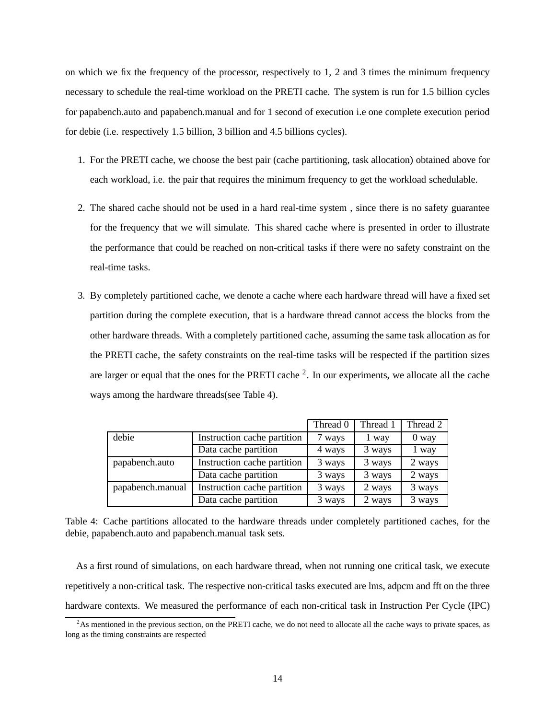on which we fix the frequency of the processor, respectively to 1, 2 and 3 times the minimum frequency necessary to schedule the real-time workload on the PRETI cache. The system is run for 1.5 billion cycles for papabench.auto and papabench.manual and for 1 second of execution i.e one complete execution period for debie (i.e. respectively 1.5 billion, 3 billion and 4.5 billions cycles).

- 1. For the PRETI cache, we choose the best pair (cache partitioning, task allocation) obtained above for each workload, i.e. the pair that requires the minimum frequency to get the workload schedulable.
- 2. The shared cache should not be used in a hard real-time system , since there is no safety guarantee for the frequency that we will simulate. This shared cache where is presented in order to illustrate the performance that could be reached on non-critical tasks if there were no safety constraint on the real-time tasks.
- 3. By completely partitioned cache, we denote a cache where each hardware thread will have a fixed set partition during the complete execution, that is a hardware thread cannot access the blocks from the other hardware threads. With a completely partitioned cache, assuming the same task allocation as for the PRETI cache, the safety constraints on the real-time tasks will be respected if the partition sizes are larger or equal that the ones for the PRETI cache  $2$ . In our experiments, we allocate all the cache ways among the hardware threads(see Table 4).

|                  |                             | Thread 0 | Thread 1 | Thread 2 |
|------------------|-----------------------------|----------|----------|----------|
| debie            | Instruction cache partition | 7 ways   | 1 way    | 0 way    |
|                  | Data cache partition        | 4 ways   | 3 ways   | 1 way    |
| papabench.auto   | Instruction cache partition | 3 ways   | 3 ways   | 2 ways   |
|                  | Data cache partition        | 3 ways   | 3 ways   | 2 ways   |
| papabench.manual | Instruction cache partition | 3 ways   | 2 ways   | 3 ways   |
|                  | Data cache partition        | 3 ways   | 2 ways   | 3 ways   |

Table 4: Cache partitions allocated to the hardware threads under completely partitioned caches, for the debie, papabench.auto and papabench.manual task sets.

As a first round of simulations, on each hardware thread, when not running one critical task, we execute repetitively a non-critical task. The respective non-critical tasks executed are lms, adpcm and fft on the three hardware contexts. We measured the performance of each non-critical task in Instruction Per Cycle (IPC)

<sup>&</sup>lt;sup>2</sup>As mentioned in the previous section, on the PRETI cache, we do not need to allocate all the cache ways to private spaces, as long as the timing constraints are respected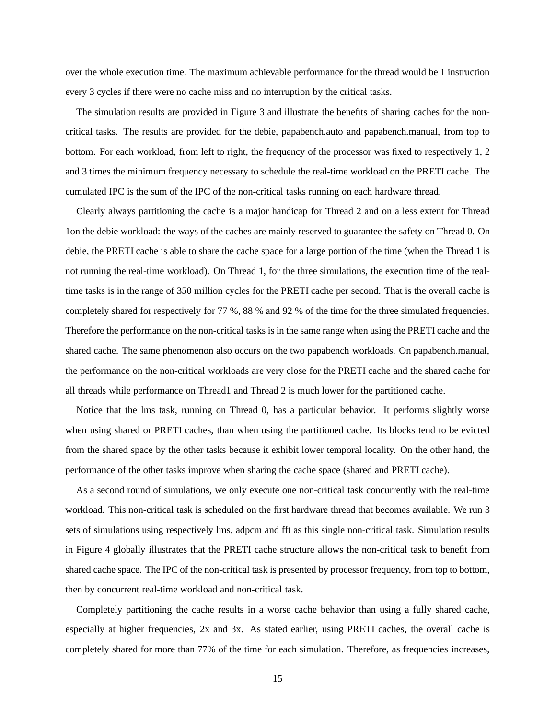over the whole execution time. The maximum achievable performance for the thread would be 1 instruction every 3 cycles if there were no cache miss and no interruption by the critical tasks.

The simulation results are provided in Figure 3 and illustrate the benefits of sharing caches for the noncritical tasks. The results are provided for the debie, papabench.auto and papabench.manual, from top to bottom. For each workload, from left to right, the frequency of the processor was fixed to respectively 1, 2 and 3 times the minimum frequency necessary to schedule the real-time workload on the PRETI cache. The cumulated IPC is the sum of the IPC of the non-critical tasks running on each hardware thread.

Clearly always partitioning the cache is a major handicap for Thread 2 and on a less extent for Thread 1on the debie workload: the ways of the caches are mainly reserved to guarantee the safety on Thread 0. On debie, the PRETI cache is able to share the cache space for a large portion of the time (when the Thread 1 is not running the real-time workload). On Thread 1, for the three simulations, the execution time of the realtime tasks is in the range of 350 million cycles for the PRETI cache per second. That is the overall cache is completely shared for respectively for 77 %, 88 % and 92 % of the time for the three simulated frequencies. Therefore the performance on the non-critical tasks is in the same range when using the PRETI cache and the shared cache. The same phenomenon also occurs on the two papabench workloads. On papabench.manual, the performance on the non-critical workloads are very close for the PRETI cache and the shared cache for all threads while performance on Thread1 and Thread 2 is much lower for the partitioned cache.

Notice that the lms task, running on Thread 0, has a particular behavior. It performs slightly worse when using shared or PRETI caches, than when using the partitioned cache. Its blocks tend to be evicted from the shared space by the other tasks because it exhibit lower temporal locality. On the other hand, the performance of the other tasks improve when sharing the cache space (shared and PRETI cache).

As a second round of simulations, we only execute one non-critical task concurrently with the real-time workload. This non-critical task is scheduled on the first hardware thread that becomes available. We run 3 sets of simulations using respectively lms, adpcm and fft as this single non-critical task. Simulation results in Figure 4 globally illustrates that the PRETI cache structure allows the non-critical task to benefit from shared cache space. The IPC of the non-critical task is presented by processor frequency, from top to bottom, then by concurrent real-time workload and non-critical task.

Completely partitioning the cache results in a worse cache behavior than using a fully shared cache, especially at higher frequencies, 2x and 3x. As stated earlier, using PRETI caches, the overall cache is completely shared for more than 77% of the time for each simulation. Therefore, as frequencies increases,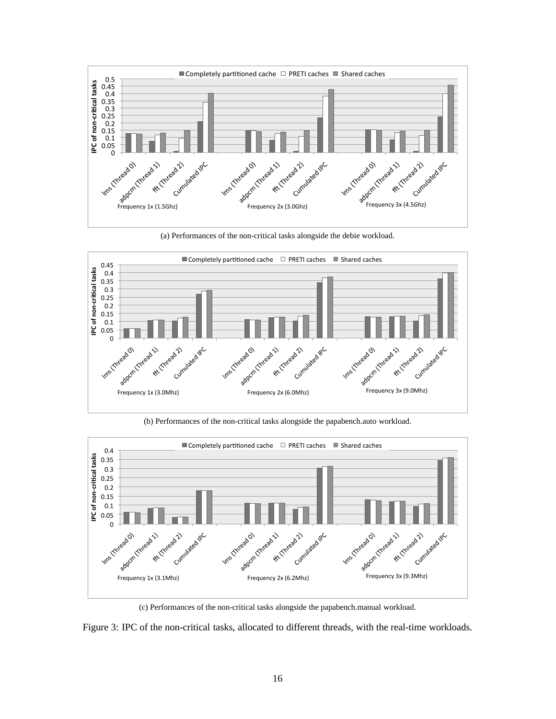

(a) Performances of the non-critical tasks alongside the debie workload.



(b) Performances of the non-critical tasks alongside the papabench.auto workload.



(c) Performances of the non-critical tasks alongside the papabench.manual workload.

Figure 3: IPC of the non-critical tasks, allocated to different threads, with the real-time workloads.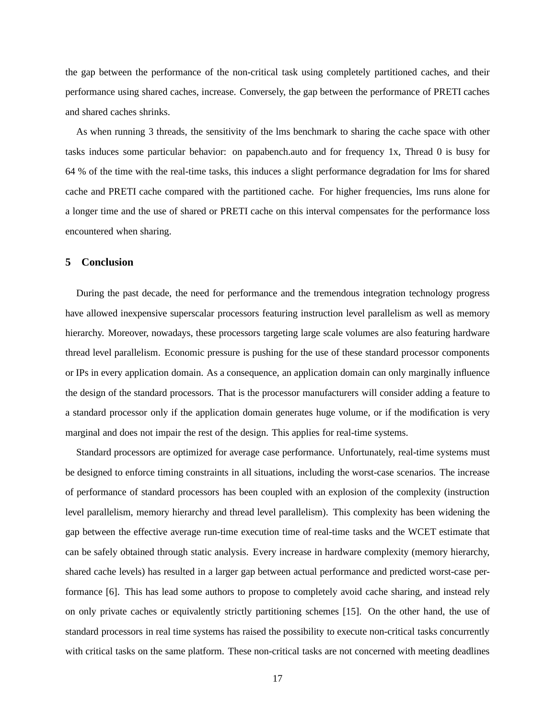the gap between the performance of the non-critical task using completely partitioned caches, and their performance using shared caches, increase. Conversely, the gap between the performance of PRETI caches and shared caches shrinks.

As when running 3 threads, the sensitivity of the lms benchmark to sharing the cache space with other tasks induces some particular behavior: on papabench.auto and for frequency 1x, Thread 0 is busy for 64 % of the time with the real-time tasks, this induces a slight performance degradation for lms for shared cache and PRETI cache compared with the partitioned cache. For higher frequencies, lms runs alone for a longer time and the use of shared or PRETI cache on this interval compensates for the performance loss encountered when sharing.

## **5 Conclusion**

During the past decade, the need for performance and the tremendous integration technology progress have allowed inexpensive superscalar processors featuring instruction level parallelism as well as memory hierarchy. Moreover, nowadays, these processors targeting large scale volumes are also featuring hardware thread level parallelism. Economic pressure is pushing for the use of these standard processor components or IPs in every application domain. As a consequence, an application domain can only marginally influence the design of the standard processors. That is the processor manufacturers will consider adding a feature to a standard processor only if the application domain generates huge volume, or if the modification is very marginal and does not impair the rest of the design. This applies for real-time systems.

Standard processors are optimized for average case performance. Unfortunately, real-time systems must be designed to enforce timing constraints in all situations, including the worst-case scenarios. The increase of performance of standard processors has been coupled with an explosion of the complexity (instruction level parallelism, memory hierarchy and thread level parallelism). This complexity has been widening the gap between the effective average run-time execution time of real-time tasks and the WCET estimate that can be safely obtained through static analysis. Every increase in hardware complexity (memory hierarchy, shared cache levels) has resulted in a larger gap between actual performance and predicted worst-case performance [6]. This has lead some authors to propose to completely avoid cache sharing, and instead rely on only private caches or equivalently strictly partitioning schemes [15]. On the other hand, the use of standard processors in real time systems has raised the possibility to execute non-critical tasks concurrently with critical tasks on the same platform. These non-critical tasks are not concerned with meeting deadlines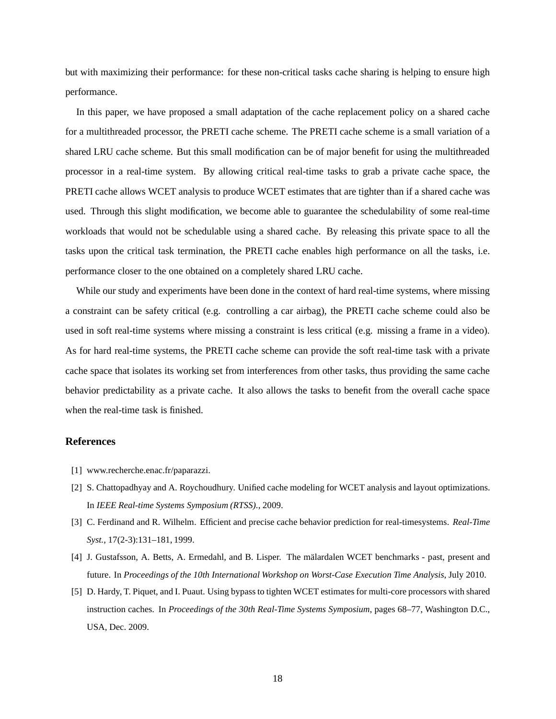but with maximizing their performance: for these non-critical tasks cache sharing is helping to ensure high performance.

In this paper, we have proposed a small adaptation of the cache replacement policy on a shared cache for a multithreaded processor, the PRETI cache scheme. The PRETI cache scheme is a small variation of a shared LRU cache scheme. But this small modification can be of major benefit for using the multithreaded processor in a real-time system. By allowing critical real-time tasks to grab a private cache space, the PRETI cache allows WCET analysis to produce WCET estimates that are tighter than if a shared cache was used. Through this slight modification, we become able to guarantee the schedulability of some real-time workloads that would not be schedulable using a shared cache. By releasing this private space to all the tasks upon the critical task termination, the PRETI cache enables high performance on all the tasks, i.e. performance closer to the one obtained on a completely shared LRU cache.

While our study and experiments have been done in the context of hard real-time systems, where missing a constraint can be safety critical (e.g. controlling a car airbag), the PRETI cache scheme could also be used in soft real-time systems where missing a constraint is less critical (e.g. missing a frame in a video). As for hard real-time systems, the PRETI cache scheme can provide the soft real-time task with a private cache space that isolates its working set from interferences from other tasks, thus providing the same cache behavior predictability as a private cache. It also allows the tasks to benefit from the overall cache space when the real-time task is finished.

## **References**

- [1] www.recherche.enac.fr/paparazzi.
- [2] S. Chattopadhyay and A. Roychoudhury. Unified cache modeling for WCET analysis and layout optimizations. In *IEEE Real-time Systems Symposium (RTSS).*, 2009.
- [3] C. Ferdinand and R. Wilhelm. Efficient and precise cache behavior prediction for real-timesystems. *Real-Time Syst.*, 17(2-3):131–181, 1999.
- [4] J. Gustafsson, A. Betts, A. Ermedahl, and B. Lisper. The mälardalen WCET benchmarks past, present and future. In *Proceedings of the 10th International Workshop on Worst-Case Execution Time Analysis*, July 2010.
- [5] D. Hardy, T. Piquet, and I. Puaut. Using bypass to tighten WCET estimates for multi-core processors with shared instruction caches. In *Proceedings of the 30th Real-Time Systems Symposium*, pages 68–77, Washington D.C., USA, Dec. 2009.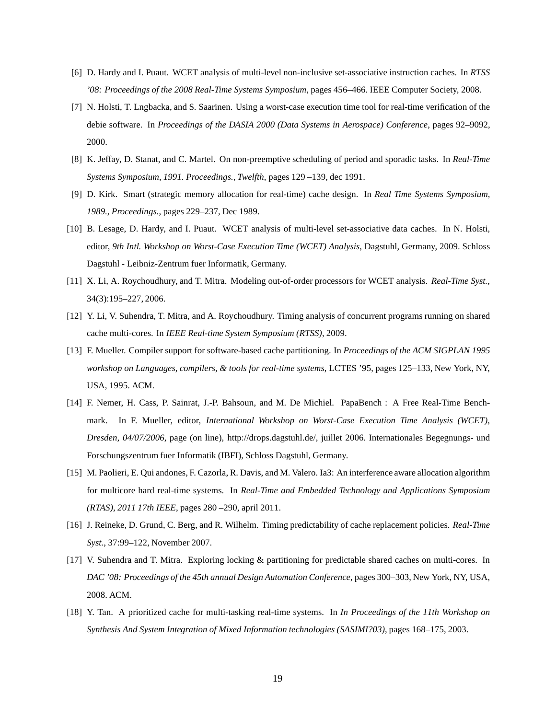- [6] D. Hardy and I. Puaut. WCET analysis of multi-level non-inclusive set-associative instruction caches. In *RTSS '08: Proceedings of the 2008 Real-Time Systems Symposium*, pages 456–466. IEEE Computer Society, 2008.
- [7] N. Holsti, T. Lngbacka, and S. Saarinen. Using a worst-case execution time tool for real-time verification of the debie software. In *Proceedings of the DASIA 2000 (Data Systems in Aerospace) Conference*, pages 92–9092, 2000.
- [8] K. Jeffay, D. Stanat, and C. Martel. On non-preemptive scheduling of period and sporadic tasks. In *Real-Time Systems Symposium, 1991. Proceedings., Twelfth*, pages 129 –139, dec 1991.
- [9] D. Kirk. Smart (strategic memory allocation for real-time) cache design. In *Real Time Systems Symposium, 1989., Proceedings.*, pages 229–237, Dec 1989.
- [10] B. Lesage, D. Hardy, and I. Puaut. WCET analysis of multi-level set-associative data caches. In N. Holsti, editor, *9th Intl. Workshop on Worst-Case Execution Time (WCET) Analysis*, Dagstuhl, Germany, 2009. Schloss Dagstuhl - Leibniz-Zentrum fuer Informatik, Germany.
- [11] X. Li, A. Roychoudhury, and T. Mitra. Modeling out-of-order processors for WCET analysis. *Real-Time Syst.*, 34(3):195–227, 2006.
- [12] Y. Li, V. Suhendra, T. Mitra, and A. Roychoudhury. Timing analysis of concurrent programs running on shared cache multi-cores. In *IEEE Real-time System Symposium (RTSS)*, 2009.
- [13] F. Mueller. Compiler support for software-based cache partitioning. In *Proceedings of the ACM SIGPLAN 1995 workshop on Languages, compilers, & tools for real-time systems*, LCTES '95, pages 125–133, New York, NY, USA, 1995. ACM.
- [14] F. Nemer, H. Cass, P. Sainrat, J.-P. Bahsoun, and M. De Michiel. PapaBench : A Free Real-Time Benchmark. In F. Mueller, editor, *International Workshop on Worst-Case Execution Time Analysis (WCET), Dresden, 04/07/2006*, page (on line), http://drops.dagstuhl.de/, juillet 2006. Internationales Begegnungs- und Forschungszentrum fuer Informatik (IBFI), Schloss Dagstuhl, Germany.
- [15] M. Paolieri, E. Qui andones, F. Cazorla, R. Davis, and M. Valero. Ia3: An interference aware allocation algorithm for multicore hard real-time systems. In *Real-Time and Embedded Technology and Applications Symposium (RTAS), 2011 17th IEEE*, pages 280 –290, april 2011.
- [16] J. Reineke, D. Grund, C. Berg, and R. Wilhelm. Timing predictability of cache replacement policies. *Real-Time Syst.*, 37:99–122, November 2007.
- [17] V. Suhendra and T. Mitra. Exploring locking & partitioning for predictable shared caches on multi-cores. In *DAC '08: Proceedings of the 45th annual Design Automation Conference*, pages 300–303, New York, NY, USA, 2008. ACM.
- [18] Y. Tan. A prioritized cache for multi-tasking real-time systems. In *In Proceedings of the 11th Workshop on Synthesis And System Integration of Mixed Information technologies (SASIMI?03)*, pages 168–175, 2003.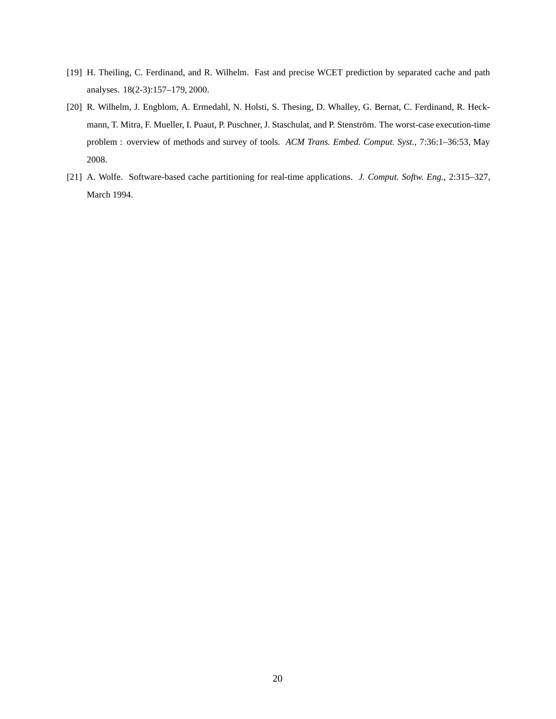- [19] H. Theiling, C. Ferdinand, and R. Wilhelm. Fast and precise WCET prediction by separated cache and path analyses. 18(2-3):157–179, 2000.
- [20] R. Wilhelm, J. Engblom, A. Ermedahl, N. Holsti, S. Thesing, D. Whalley, G. Bernat, C. Ferdinand, R. Heckmann, T. Mitra, F. Mueller, I. Puaut, P. Puschner, J. Staschulat, and P. Stenström. The worst-case execution-time problem : overview of methods and survey of tools. *ACM Trans. Embed. Comput. Syst.*, 7:36:1–36:53, May 2008.
- [21] A. Wolfe. Software-based cache partitioning for real-time applications. *J. Comput. Softw. Eng.*, 2:315–327, March 1994.